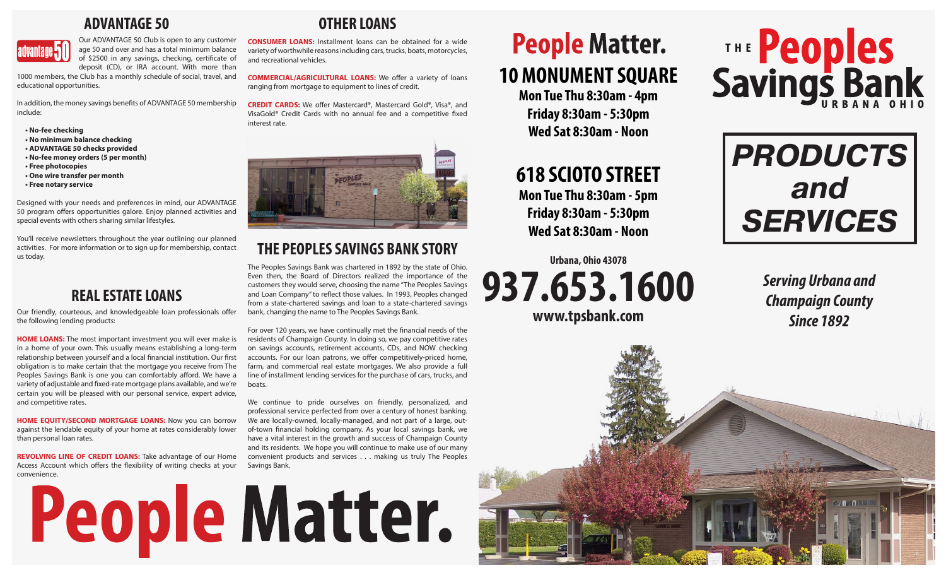## **ADVANTAGE 50**



Our ADVANTAGE 50 Club is open to any customer age 50 and over and has a total minimum balance of \$2500 in any savings, checking, certificate of deposit (CD), or IRA account. With more than

1000 members, the Club has a monthly schedule of social, travel, and educational opportunities.

In addition, the money savings benefits of ADVANTAGE 50 membership include:

**• No-fee checking**

- **No minimum balance checking**
- **ADVANTAGE 50 checks provided**
- **No-fee money orders (5 per month) • Free photocopies**
- **One wire transfer per month**
- **Free notary service**

Designed with your needs and preferences in mind, our ADVANTAGE 50 program offers opportunities galore. Enjoy planned activities and special events with others sharing similar lifestyles.

You'll receive newsletters throughout the year outlining our planned activities. For more information or to sign up for membership, contact us today.

## **REAL ESTATE LOANS**

Our friendly, courteous, and knowledgeable loan professionals offer the following lending products:

**HOME LOANS:** The most important investment you will ever make is in a home of your own. This usually means establishing a long-term relationship between yourself and a local financial institution. Our first obligation is to make certain that the mortgage you receive from The Peoples Savings Bank is one you can comfortably afford. We have a variety of adjustable and fixed-rate mortgage plans available, and we're certain you will be pleased with our personal service, expert advice, and competitive rates.

**HOME EQUITY/SECOND MORTGAGE LOANS:** Now you can borrow against the lendable equity of your home at rates considerably lower than personal loan rates.

**REVOLVING LINE OF CREDIT LOANS:** Take advantage of our Home Access Account which offers the flexibility of writing checks at your convenience.

## **OTHER LOANS**

**CONSUMER LOANS:** Installment loans can be obtained for a wide variety of worthwhile reasons including cars, trucks, boats, motorcycles, and recreational vehicles.

**COMMERCIAL/AGRICULTURAL LOANS:** We offer a variety of loans ranging from mortgage to equipment to lines of credit.

**CREDIT CARDS:** We offer Mastercard®, Mastercard Gold®, Visa®, and VisaGold® Credit Cards with no annual fee and a competitive fixed interest rate.



## **THE PEOPLES SAVINGS BANK STORY**

The Peoples Savings Bank was chartered in 1892 by the state of Ohio. Even then, the Board of Directors realized the importance of the customers they would serve, choosing the name "The Peoples Savings and Loan Company" to reflect those values. In 1993, Peoples changed from a state-chartered savings and loan to a state-chartered savings bank, changing the name to The Peoples Savings Bank.

For over 120 years, we have continually met the financial needs of the residents of Champaign County. In doing so, we pay competitive rates on savings accounts, retirement accounts, CDs, and NOW checking accounts. For our loan patrons, we offer competitively-priced home, farm, and commercial real estate mortgages. We also provide a full line of installment lending services for the purchase of cars, trucks, and boats.

We continue to pride ourselves on friendly, personalized, and professional service perfected from over a century of honest banking. We are locally-owned, locally-managed, and not part of a large, outof-town financial holding company. As your local savings bank, we have a vital interest in the growth and success of Champaign County and its residents. We hope you will continue to make use of our many convenient products and services . . . making us truly The Peoples Savings Bank.

# People Matter.

# **People Matter. 10 MONUMENT SQUARE**

**Mon Tue Thu 8:30am - 4pm Friday 8:30am - 5:30pm Wed Sat 8:30am - Noon**

# **618 SCIOTO STREET**

**Mon Tue Thu 8:30am - 5pm Friday 8:30am - 5:30pm Wed Sat 8:30am - Noon**

## **Urbana, Ohio 43078 937.653.1600 www.tpsbank.com**



*PRODUCTS and SERVICES*

> *Serving Urbana and Champaign County Since 1892*